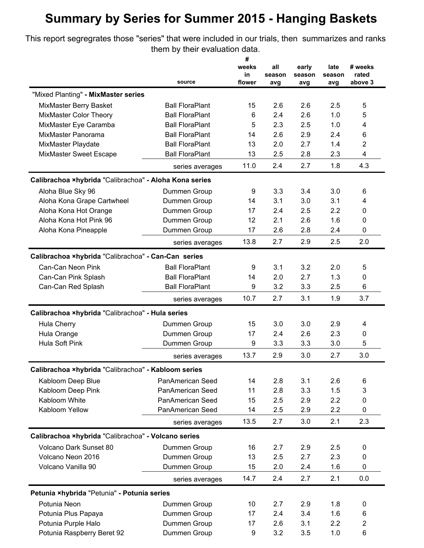## **Summary by Series for Summer 2015 - Hanging Baskets**

This report segregrates those "series" that were included in our trials, then summarizes and ranks them by their evaluation data.

|                                                        |                              | #            |        |        |               |                  |
|--------------------------------------------------------|------------------------------|--------------|--------|--------|---------------|------------------|
|                                                        |                              | weeks        | all    | early  | late          | # weeks          |
|                                                        | source                       | in<br>flower | season | season | season<br>avg | rated<br>above 3 |
|                                                        |                              |              | avg    | avg    |               |                  |
| "Mixed Planting" - MixMaster series                    |                              |              |        |        |               |                  |
| MixMaster Berry Basket                                 | <b>Ball FloraPlant</b>       | 15           | 2.6    | 2.6    | 2.5           | 5                |
| MixMaster Color Theory                                 | <b>Ball FloraPlant</b>       | 6            | 2.4    | 2.6    | 1.0           | 5                |
| MixMaster Eye Caramba                                  | <b>Ball FloraPlant</b>       | 5            | 2.3    | 2.5    | 1.0           | 4                |
| MixMaster Panorama                                     | <b>Ball FloraPlant</b>       | 14           | 2.6    | 2.9    | 2.4           | 6                |
| MixMaster Playdate                                     | <b>Ball FloraPlant</b>       | 13           | 2.0    | 2.7    | 1.4           | $\overline{2}$   |
| MixMaster Sweet Escape                                 | <b>Ball FloraPlant</b>       | 13           | 2.5    | 2.8    | 2.3           | $\overline{4}$   |
|                                                        | series averages              | 11.0         | 2.4    | 2.7    | 1.8           | 4.3              |
| Calibrachoa ×hybrida "Calibrachoa" - Aloha Kona series |                              |              |        |        |               |                  |
| Aloha Blue Sky 96                                      | Dummen Group                 | 9            | 3.3    | 3.4    | 3.0           | 6                |
| Aloha Kona Grape Cartwheel                             | Dummen Group                 | 14           | 3.1    | 3.0    | 3.1           | 4                |
| Aloha Kona Hot Orange                                  | Dummen Group                 | 17           | 2.4    | 2.5    | 2.2           | $\Omega$         |
| Aloha Kona Hot Pink 96                                 | Dummen Group                 | 12           | 2.1    | 2.6    | 1.6           | 0                |
| Aloha Kona Pineapple                                   | Dummen Group                 | 17           | 2.6    | 2.8    | 2.4           | 0                |
|                                                        | series averages              | 13.8         | 2.7    | 2.9    | 2.5           | 2.0              |
| Calibrachoa xhybrida "Calibrachoa" - Can-Can series    |                              |              |        |        |               |                  |
| Can-Can Neon Pink                                      | <b>Ball FloraPlant</b>       | 9            | 3.1    | 3.2    | 2.0           | 5                |
| Can-Can Pink Splash                                    | <b>Ball FloraPlant</b>       | 14           | 2.0    | 2.7    | 1.3           | 0                |
| Can-Can Red Splash                                     | <b>Ball FloraPlant</b>       | 9            | 3.2    | 3.3    | 2.5           | 6                |
|                                                        | series averages              | 10.7         | 2.7    | 3.1    | 1.9           | 3.7              |
| Calibrachoa ×hybrida "Calibrachoa" - Hula series       |                              |              |        |        |               |                  |
|                                                        |                              | 15           | 3.0    | 3.0    | 2.9           |                  |
| Hula Cherry<br>Hula Orange                             | Dummen Group<br>Dummen Group | 17           | 2.4    | 2.6    | 2.3           | 4<br>0           |
| Hula Soft Pink                                         |                              | 9            | 3.3    | 3.3    | 3.0           | 5                |
|                                                        | Dummen Group                 |              |        |        |               |                  |
|                                                        | series averages              | 13.7         | 2.9    | 3.0    | 2.7           | 3.0              |
| Calibrachoa ×hybrida "Calibrachoa" - Kabloom series    |                              |              |        |        |               |                  |
| Kabloom Deep Blue                                      | PanAmerican Seed             | 14           | 2.8    | 3.1    | 2.6           | 6                |
| Kabloom Deep Pink                                      | PanAmerican Seed             | 11           | 2.8    | 3.3    | 1.5           | 3                |
| Kabloom White                                          | PanAmerican Seed             | 15           | 2.5    | 2.9    | 2.2           | 0                |
| Kabloom Yellow                                         | PanAmerican Seed             | 14           | 2.5    | 2.9    | 2.2           | 0                |
|                                                        | series averages              | 13.5         | 2.7    | 3.0    | 2.1           | 2.3              |
| Calibrachoa ×hybrida "Calibrachoa" - Volcano series    |                              |              |        |        |               |                  |
| Volcano Dark Sunset 80                                 | Dummen Group                 | 16           | 2.7    | 2.9    | 2.5           | 0                |
| Volcano Neon 2016                                      | Dummen Group                 | 13           | 2.5    | 2.7    | 2.3           | 0                |
| Volcano Vanilla 90                                     | Dummen Group                 | 15           | 2.0    | 2.4    | 1.6           | 0                |
|                                                        | series averages              | 14.7         | 2.4    | 2.7    | 2.1           | 0.0              |
| Petunia ×hybrida "Petunia" - Potunia series            |                              |              |        |        |               |                  |
| Potunia Neon                                           | Dummen Group                 | 10           | 2.7    | 2.9    | 1.8           | 0                |
| Potunia Plus Papaya                                    | Dummen Group                 | 17           | 2.4    | 3.4    | 1.6           | 6                |
| Potunia Purple Halo                                    | Dummen Group                 | 17           | 2.6    | 3.1    | 2.2           | $\overline{c}$   |
| Potunia Raspberry Beret 92                             | Dummen Group                 | 9            | 3.2    | 3.5    | 1.0           | 6                |
|                                                        |                              |              |        |        |               |                  |